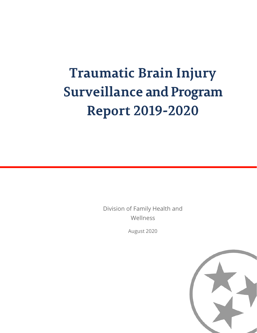# **Traumatic Brain Injury Surveillance and Program Report 2019-2020**

Division of Family Health and Wellness

August 2020

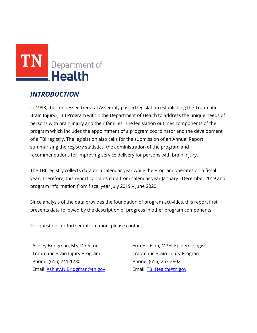

# *INTRODUCTION*

In 1993, the Tennessee General Assembly passed legislation establishing the Traumatic Brain Injury (TBI) Program within the Department of Health to address the unique needs of persons with brain injury and their families. The legislation outlines components of the program which includes the appointment of a program coordinator and the development of a TBI registry. The legislation also calls for the submission of an Annual Report summarizing the registry statistics, the administration of the program and recommendations for improving service delivery for persons with brain injury.

The TBI registry collects data on a calendar year while the Program operates on a fiscal year. Therefore, this report contains data from calendar year January - December 2019 and program information from fiscal year July 2019 – June 2020.

Since analysis of the data provides the foundation of program activities, this report first presents data followed by the description of progress in other program components.

For questions or further information, please contact:

Ashley Bridgman, MS, Director Traumatic Brain Injury Program Phone: (615) 741-1230 Email: [Ashley.N.Bridgman@tn.gov](mailto:Ashley.N.Bridgman@tn.gov)

Erin Hodson, MPH, Epidemiologist Traumatic Brain Injury Program Phone: (615) 253-2802 Email[: TBI.Health@tn.gov](mailto:Caitlin@tn.gov)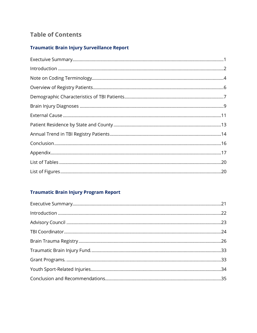# **Table of Contents**

# **Traumatic Brain Injury Surveillance Report**

# **Traumatic Brain Injury Program Report**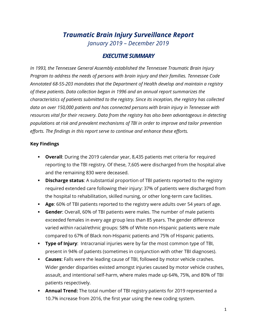# *Traumatic Brain Injury Surveillance Report January 2019 – December 2019*

### *EXECUTIVE SUMMARY*

<span id="page-3-0"></span>*In 1993, the Tennessee General Assembly established the Tennessee Traumatic Brain Injury Program to address the needs of persons with brain injury and their families. Tennessee Code Annotated 68-55-203 mandates that the Department of Health develop and maintain a registry of these patients. Data collection began in 1996 and an annual report summarizes the characteristics of patients submitted to the registry. Since its inception, the registry has collected data on over 150,000 patients and has connected persons with brain injury in Tennessee with resources vital for their recovery. Data from the registry has also been advantageous in detecting populations at risk and prevalent mechanisms of TBI in order to improve and tailor prevention efforts. The findings in this report serve to continue and enhance these efforts.*

#### **Key Findings**

- **Overall**: During the 2019 calendar year, 8,435 patients met criteria for required reporting to the TBI registry. Of these, 7,605 were discharged from the hospital alive and the remaining 830 were deceased.
- **Discharge status:** A substantial proportion of TBI patients reported to the registry required extended care following their injury: 37% of patients were discharged from the hospital to rehabilitation, skilled nursing, or other long-term care facilities.
- **Age**: 60% of TBI patients reported to the registry were adults over 54 years of age.
- **Gender**: Overall, 60% of TBI patients were males. The number of male patients exceeded females in every age group less than 85 years. The gender difference varied within racial/ethnic groups: 58% of White non-Hispanic patients were male compared to 67% of Black non-Hispanic patients and 75% of Hispanic patients.
- **Type of Injury**: Intracranial injuries were by far the most common type of TBI, present in 94% of patients (sometimes in conjunction with other TBI diagnoses).
- **Causes**: Falls were the leading cause of TBI, followed by motor vehicle crashes. Wider gender disparities existed amongst injuries caused by motor vehicle crashes, assault, and intentional self-harm, where males made up 64%, 75%, and 80% of TBI patients respectively.
- **Annual Trend:** The total number of TBI registry patients for 2019 represented a 10.7% increase from 2016, the first year using the new coding system.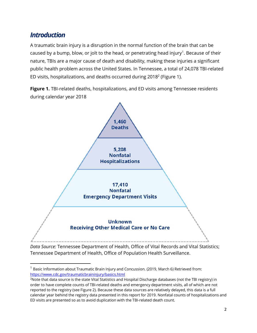# <span id="page-4-0"></span>*Introduction*

A traumatic brain injury is a disruption in the normal function of the brain that can be caused by a bump, blow, or jolt to the head, or penetrating head injury<sup>[1](#page-4-1)</sup>. Because of their nature, TBIs are a major cause of death and disability, making these injuries a significant public health problem across the United States. In Tennessee, a total of 24,078 TBI-related ED visits, hospitalizations, and deaths occurred during  $2018^2$  (Figure 1).

**Figure 1.** TBI-related deaths, hospitalizations, and ED visits among Tennessee residents during calendar year 2018



*Data Source:* Tennessee Department of Health, Office of Vital Records and Vital Statistics; Tennessee Department of Health, Office of Population Health Surveillance.

<span id="page-4-1"></span> $1$  Basic Information about Traumatic Brain Injury and Concussion. (2019, March 6) Retrieved from: <https://www.cdc.gov/traumaticbraininjury/basics.html>

<sup>2</sup> Note that data source is the state Vital Statistics and Hospital Discharge databases (not the TBI registry) in order to have complete counts of TBI-related deaths and emergency department visits, all of which are not reported to the registry (see Figure 2). Because these data sources are relatively delayed, this data is a full calendar year behind the registry data presented in this report for 2019. Nonfatal counts of hospitalizations and ED visits are presented so as to avoid duplication with the TBI-related death count.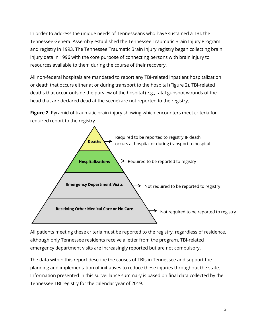In order to address the unique needs of Tennesseans who have sustained a TBI, the Tennessee General Assembly established the Tennessee Traumatic Brain Injury Program and registry in 1993. The Tennessee Traumatic Brain Injury registry began collecting brain injury data in 1996 with the core purpose of connecting persons with brain injury to resources available to them during the course of their recovery.

All non-federal hospitals are mandated to report any TBI-related inpatient hospitalization or death that occurs either at or during transport to the hospital (Figure 2). TBI-related deaths that occur outside the purview of the hospital (e.g., fatal gunshot wounds of the head that are declared dead at the scene) are not reported to the registry.

**Figure 2.** Pyramid of traumatic brain injury showing which encounters meet criteria for required report to the registry



All patients meeting these criteria must be reported to the registry, regardless of residence, although only Tennessee residents receive a letter from the program. TBI-related emergency department visits are increasingly reported but are not compulsory.

The data within this report describe the causes of TBIs in Tennessee and support the planning and implementation of initiatives to reduce these injuries throughout the state. Information presented in this surveillance summary is based on final data collected by the Tennessee TBI registry for the calendar year of 2019.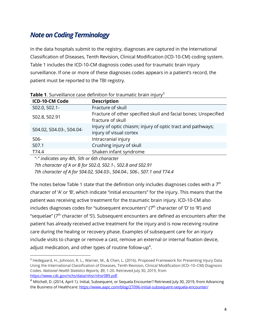# <span id="page-6-0"></span>*Note on Coding Terminology*

In the data hospitals submit to the registry, diagnoses are captured in the International Classification of Diseases, Tenth Revision, Clinical Modification (ICD-10-CM) coding system. Table 1 includes the ICD-10-CM diagnosis codes used for traumatic brain injury surveillance. If one or more of these diagnoses codes appears in a patient's record, the patient must be reported to the TBI registry.

| ICD-10-CM Code           | <b>Description</b>                                                                     |
|--------------------------|----------------------------------------------------------------------------------------|
| S02.0, S02.1-            | Fracture of skull                                                                      |
| S02.8, S02.91            | Fracture of other specified skull and facial bones; Unspecified<br>fracture of skull   |
| S04.02, S04.03-, S04.04- | Injury of optic chiasm; injury of optic tract and pathways;<br>injury of visual cortex |
| S06-                     | Intracranial injury                                                                    |
| S07.1                    | Crushing injury of skull                                                               |
| T74.4                    | Shaken infant syndrome                                                                 |

**Table 1.** Surveillance case definition for traumatic brain injury<sup>[3](#page-6-1)</sup>

*"-" indicates any 4th, 5th or 6th character*

*7th character of A or B for S02.0, S02.1-, S02.8 and S02.91*

*7th character of A for S04.02, S04.03-, S04.04-, S06-, S07.1 and T74.4*

The notes below Table 1 state that the definition only includes diagnoses codes with a  $7<sup>th</sup>$ character of 'A' or 'B', which indicate "initial encounters" for the injury. This means that the patient was receiving active treatment for the traumatic brain injury. ICD-10-CM also includes diagnoses codes for "subsequent encounters" ( $7<sup>th</sup>$  character of 'D' to 'R') and "sequelae" ( $7<sup>th</sup>$  character of 'S'). Subsequent encounters are defined as encounters after the patient has already received active treatment for the injury and is now receiving routine care during the healing or recovery phase. Examples of subsequent care for an injury include visits to change or remove a cast, remove an external or internal fixation device, adjust medication, and other types of routine follow-up<sup>[4](#page-6-2)</sup>.

<span id="page-6-1"></span><sup>3</sup> Hedegaard, H., Johnson, R. L., Warner, M., & Chen, L. (2016). Proposed Framework for Presenting Injury Data Using the International Classification of Diseases, Tenth Revision, Clinical Modification (ICD–10–CM) Diagnosis Codes. *National Health Statistics Reports, 89*, 1-20. Retrieved July 30, 2019, from [https://www.cdc.gov/nchs/data/nhsr/nhsr089.pdf.](https://www.cdc.gov/nchs/data/nhsr/nhsr089.pdf)

<span id="page-6-2"></span><sup>&</sup>lt;sup>4</sup> Mitchell, D. (2014, April 1). Initial, Subsequent, or Sequela Encounter? Retrieved July 30, 2019, from Advancing the Business of Healthcare:<https://www.aapc.com/blog/27096-initial-subsequent-sequela-encounter/>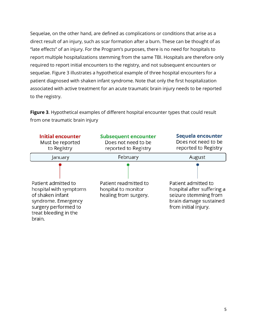Sequelae, on the other hand, are defined as complications or conditions that arise as a direct result of an injury, such as scar formation after a burn. These can be thought of as "late effects" of an injury. For the Program's purposes, there is no need for hospitals to report multiple hospitalizations stemming from the same TBI. Hospitals are therefore only required to report initial encounters to the registry, and not subsequent encounters or sequelae. Figure 3 illustrates a hypothetical example of three hospital encounters for a patient diagnosed with shaken infant syndrome. Note that only the first hospitalization associated with active treatment for an acute traumatic brain injury needs to be reported to the registry.

**Figure 3**. Hypothetical examples of different hospital encounter types that could result from one traumatic brain injury

| <b>Initial encounter</b><br>Must be reported<br>to Registry                                                                                         | <b>Subsequent encounter</b><br>Does not need to be<br>reported to Registry | Sequela encounter<br>Does not need to be<br>reported to Registry                                                             |
|-----------------------------------------------------------------------------------------------------------------------------------------------------|----------------------------------------------------------------------------|------------------------------------------------------------------------------------------------------------------------------|
| January                                                                                                                                             | February                                                                   | August                                                                                                                       |
| Patient admitted to<br>hospital with symptoms<br>of shaken infant<br>syndrome. Emergency<br>surgery performed to<br>treat bleeding in the<br>brain. | Patient readmitted to<br>hospital to monitor<br>healing from surgery.      | Patient admitted to<br>hospital after suffering a<br>seizure stemming from<br>brain damage sustained<br>from initial injury. |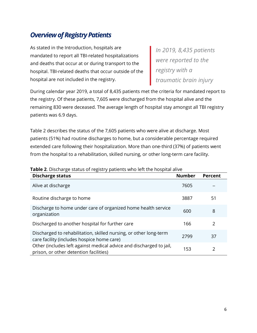# <span id="page-8-0"></span>*Overview of Registry Patients*

As stated in the Introduction, hospitals are mandated to report all TBI-related hospitalizations and deaths that occur at or during transport to the hospital. TBI-related deaths that occur outside of the hospital are not included in the registry.

*In 2019, 8,435 patients were reported to the registry with a traumatic brain injury*

During calendar year 2019, a total of 8,435 patients met the criteria for mandated report to the registry. Of these patients, 7,605 were discharged from the hospital alive and the remaining 830 were deceased. The average length of hospital stay amongst all TBI registry patients was 6.9 days.

Table 2 describes the status of the 7,605 patients who were alive at discharge. Most patients (51%) had routine discharges to home, but a considerable percentage required extended care following their hospitalization. More than one-third (37%) of patients went from the hospital to a rehabilitation, skilled nursing, or other long-term care facility.

| <b>Discharge status</b>                                                                                         | <b>Number</b> | <b>Percent</b> |
|-----------------------------------------------------------------------------------------------------------------|---------------|----------------|
| Alive at discharge                                                                                              | 7605          |                |
| Routine discharge to home                                                                                       | 3887          | 51             |
| Discharge to home under care of organized home health service<br>organization                                   | 600           | 8              |
| Discharged to another hospital for further care                                                                 | 166           | 2              |
| Discharged to rehabilitation, skilled nursing, or other long-term<br>care facility (includes hospice home care) | 2799          | 37             |
| Other (includes left against medical advice and discharged to jail,<br>prison, or other detention facilities)   | 153           | 2              |

#### **Table 2**. Discharge status of registry patients who left the hospital alive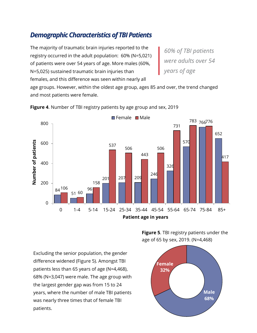# <span id="page-9-0"></span>*DemographicCharacteristics of TBI Patients*

The majority of traumatic brain injuries reported to the registry occurred in the adult population: 60% (N=5,021) of patients were over 54 years of age. More males (60%, N=5,025) sustained traumatic brain injuries than females, and this difference was seen within nearly all

*60% of TBI patients were adults over 54 years of age*

age groups. However, within the oldest age group, ages 85 and over, the trend changed and most patients were female.



**Figure 4**. Number of TBI registry patients by age group and sex, 2019

**Figure 5**. TBI registry patients under the age of 65 by sex, 2019. (N=4,468)

Excluding the senior population, the gender difference widened (Figure 5). Amongst TBI patients less than 65 years of age (N=4,468), 68% (N=3,047) were male. The age group with the largest gender gap was from 15 to 24 years, where the number of male TBI patients was nearly three times that of female TBI patients.

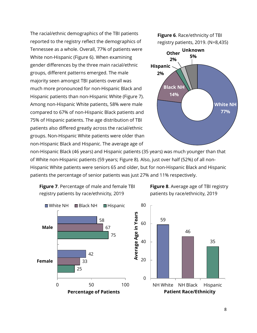The racial/ethnic demographics of the TBI patients reported to the registry reflect the demographics of Tennessee as a whole. Overall, 77% of patients were White non-Hispanic (Figure 6). When examining gender differences by the three main racial/ethnic groups, different patterns emerged. The male majority seen amongst TBI patients overall was much more pronounced for non-Hispanic Black and Hispanic patients than non-Hispanic White (Figure 7). Among non-Hispanic White patients, 58% were male compared to 67% of non-Hispanic Black patients and 75% of Hispanic patients. The age distribution of TBI patients also differed greatly across the racial/ethnic groups. Non-Hispanic White patients were older than non-Hispanic Black and Hispanic. The average age of



non-Hispanic Black (46 years) and Hispanic patients (35 years) was much younger than that of White non-Hispanic patients (59 years; Figure 8). Also, just over half (52%) of all non-Hispanic White patients were seniors 65 and older, but for non-Hispanic Black and Hispanic patients the percentage of senior patients was just 27% and 11% respectively.

<span id="page-10-0"></span>

**Figure 8**. Average age of TBI registry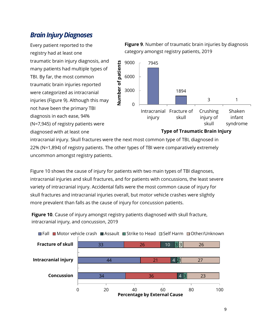# *Brain Injury Diagnoses*

Every patient reported to the registry had at least one traumatic brain injury diagnosis, and many patients had multiple types of TBI. By far, the most common traumatic brain injuries reported were categorized as intracranial injuries (Figure 9). Although this may not have been the primary TBI diagnosis in each ease, 94% (N=7,945) of registry patients were diagnosed with at least one





#### **Type of Traumatic Brain Injury**

intracranial injury. Skull fractures were the next most common type of TBI, diagnosed in 22% (N=1,894) of registry patients. The other types of TBI were comparatively extremely uncommon amongst registry patients.

Figure 10 shows the cause of injury for patients with two main types of TBI diagnoses, intracranial injuries and skull fractures, and for patients with concussions, the least severe variety of intracranial injury. Accidental falls were the most common cause of injury for skull fractures and intracranial injuries overall, but motor vehicle crashes were slightly more prevalent than falls as the cause of injury for concussion patients.

**Figure 10**. Cause of injury amongst registry patients diagnosed with skull fracture, intracranial injury, and concussion, 2019

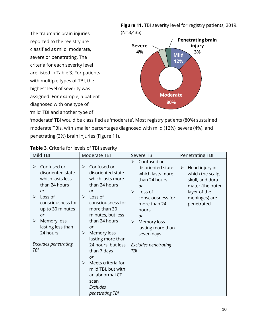The traumatic brain injuries reported to the registry are classified as mild, moderate, severe or penetrating. The criteria for each severity level are listed in Table 3. For patients with multiple types of TBI, the highest level of severity was assigned. For example, a patient diagnosed with one type of 'mild' TBI and another type of

**Figure 11.** TBI severity level for registry patients, 2019. (N=8,435)



'moderate' TBI would be classified as 'moderate'. Most registry patients (80%) sustained moderate TBIs, with smaller percentages diagnosed with mild (12%), severe (4%), and penetrating (3%) brain injuries (Figure 11).

| Mild TBI                                                                                                                                                                                                                                                                                  | Moderate TBI                                                                                                                                                                                                                                                                                                                                                                                                                           | Severe TBI                                                                                                                                                                                                                                                            | <b>Penetrating TBI</b>                                                                                                                            |
|-------------------------------------------------------------------------------------------------------------------------------------------------------------------------------------------------------------------------------------------------------------------------------------------|----------------------------------------------------------------------------------------------------------------------------------------------------------------------------------------------------------------------------------------------------------------------------------------------------------------------------------------------------------------------------------------------------------------------------------------|-----------------------------------------------------------------------------------------------------------------------------------------------------------------------------------------------------------------------------------------------------------------------|---------------------------------------------------------------------------------------------------------------------------------------------------|
| Confused or<br>$\blacktriangleright$<br>disoriented state<br>which lasts less<br>than 24 hours<br>or<br>Loss of<br>$\blacktriangleright$<br>consciousness for<br>up to 30 minutes<br>or<br>Memory loss<br>➤<br>lasting less than<br>24 hours<br><b>Excludes penetrating</b><br><b>TBI</b> | Confused or<br>➤<br>disoriented state<br>which lasts more<br>than 24 hours<br>or<br>Loss of<br>$\triangleright$<br>consciousness for<br>more than 30<br>minutes, but less<br>than 24 hours<br>or<br>Memory loss<br>$\blacktriangleright$<br>lasting more than<br>24 hours, but less<br>than 7 days<br>or<br>Meets criteria for<br>$\blacktriangleright$<br>mild TBI, but with<br>an abnormal CT<br>scan<br>Excludes<br>penetrating TBI | Confused or<br>≻<br>disoriented state<br>which lasts more<br>than 24 hours<br>or<br>Loss of<br>$\blacktriangleright$<br>consciousness for<br>more than 24<br>hours<br>or<br>Memory loss<br>≻<br>lasting more than<br>seven days<br><b>Excludes penetrating</b><br>TBI | Head injury in<br>$\blacktriangleright$<br>which the scalp,<br>skull, and dura<br>mater (the outer<br>layer of the<br>meninges) are<br>penetrated |

#### **Table 3**. Criteria for levels of TBI severity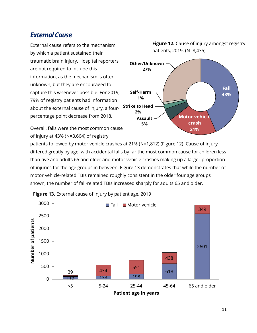# <span id="page-13-0"></span>*External Cause*

External cause refers to the mechanism by which a patient sustained their traumatic brain injury. Hospital reporters are not required to include this information, as the mechanism is often unknown, but they are encouraged to capture this whenever possible. For 2019, 79% of registry patients had information about the external cause of injury, a fourpercentage point decrease from 2018.

Overall, falls were the most common cause of injury at 43% (N=3,664) of registry



**Figure 12.** Cause of injury amongst registry patients, 2019. (N=8,435)

patients followed by motor vehicle crashes at 21% (N=1,812) (Figure 12). Cause of injury differed greatly by age, with accidental falls by far the most common cause for children less than five and adults 65 and older and motor vehicle crashes making up a larger proportion of injuries for the age groups in between. Figure 13 demonstrates that while the number of motor vehicle-related TBIs remained roughly consistent in the older four age groups shown, the number of fall-related TBIs increased sharply for adults 65 and older.



**Figure 13.** External cause of injury by patient age, 2019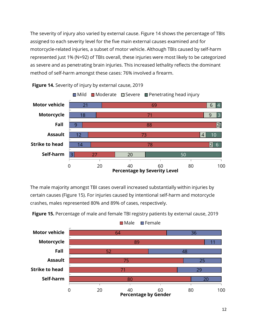The severity of injury also varied by external cause. Figure 14 shows the percentage of TBIs assigned to each severity level for the five main external causes examined and for motorcycle-related injuries, a subset of motor vehicle. Although TBIs caused by self-harm represented just 1% (N=92) of TBIs overall, these injuries were most likely to be categorized as severe and as penetrating brain injuries. This increased lethality reflects the dominant method of self-harm amongst these cases: 76% involved a firearm.



**Figure 14.** Severity of injury by external cause, 2019

The male majority amongst TBI cases overall increased substantially within injuries by certain causes (Figure 15). For injuries caused by intentional self-harm and motorcycle crashes, males represented 80% and 89% of cases, respectively.



**Figure 15.** Percentage of male and female TBI registry patients by external cause, 2019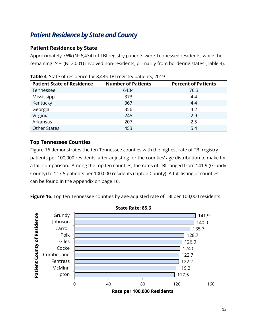# <span id="page-15-0"></span>*Patient Residence by State and County*

### **Patient Residence by State**

Approximately 76% (N=6,434) of TBI registry patients were Tennessee residents, while the remaining 24% (N=2,001) involved non-residents, primarily from bordering states (Table 4).

| <b>Patient State of Residence</b> | <b>Number of Patients</b> | <b>Percent of Patients</b> |
|-----------------------------------|---------------------------|----------------------------|
| Tennessee                         | 6434                      | 76.3                       |
| Mississippi                       | 373                       | 4.4                        |
| Kentucky                          | 367                       | 4.4                        |
| Georgia                           | 356                       | 4.2                        |
| Virginia                          | 245                       | 2.9                        |
| Arkansas                          | 207                       | 2.5                        |
| <b>Other States</b>               | 453                       | 5.4                        |

**Table 4**. State of residence for 8,435 TBI registry patients, 2019

### **Top Tennessee Counties**

Figure 16 demonstrates the ten Tennessee counties with the highest rate of TBI registry patients per 100,000 residents, after adjusting for the counties' age distribution to make for a fair comparison. Among the top ten counties, the rates of TBI ranged from 141.9 (Grundy County) to 117.5 patients per 100,000 residents (Tipton County). A full listing of counties can be found in the Appendix on page 16.

**Figure 16**. Top ten Tennessee counties by age-adjusted rate of TBI per 100,000 residents.



**State Rate: 85.6**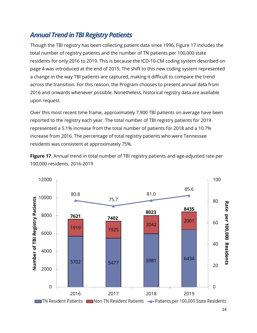# <span id="page-16-0"></span>**Annual Trend in TBI Registry Patients**

Though the TBI registry has been collecting patient data since 1996, Figure 17 includes the total number of registry patients and the number of TN patients per 100,000 state residents for only 2016 to 2019. This is because the ICD-10-CM coding system described on page 4 was introduced at the end of 2015. The shift to this new coding system represented a change in the way TBI patients are captured, making it difficult to compare the trend across the transition. For this reason, the Program chooses to present annual data from 2016 and onwards whenever possible. Nonetheless, historical registry data are available upon request.

Over this most recent time frame, approximately 7,900 TBI patients on average have been reported to the registry each year. The total number of TBI registry patients for 2019 represented a 5.1% increase from the total number of patients for 2018 and a 10.7% increase from 2016. The percentage of total registry patients who were Tennessee residents was consistent at approximately 75%.



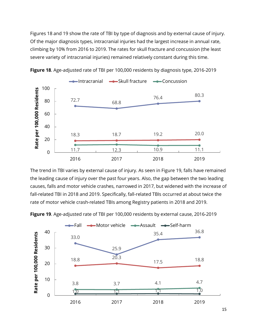Figures 18 and 19 show the rate of TBI by type of diagnosis and by external cause of injury. Of the major diagnosis types, intracranial injuries had the largest increase in annual rate, climbing by 10% from 2016 to 2019. The rates for skull fracture and concussion (the least severe variety of intracranial injuries) remained relatively constant during this time.



**Figure 18**. Age-adjusted rate of TBI per 100,000 residents by diagnosis type, 2016-2019

The trend in TBI varies by external cause of injury. As seen in Figure 19, falls have remained the leading cause of injury over the past four years. Also, the gap between the two leading causes, falls and motor vehicle crashes, narrowed in 2017, but widened with the increase of fall-related TBI in 2018 and 2019. Specifically, fall-related TBIs occurred at about twice the rate of motor vehicle crash-related TBIs among Registry patients in 2018 and 2019.



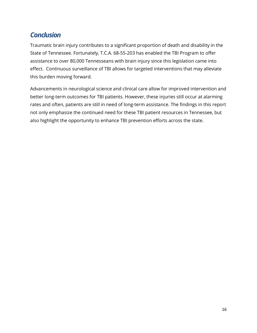# <span id="page-18-0"></span>*Conclusion*

Traumatic brain injury contributes to a significant proportion of death and disability in the State of Tennessee. Fortunately, T.C.A. 68-55-203 has enabled the TBI Program to offer assistance to over 80,000 Tennesseans with brain injury since this legislation came into effect. Continuous surveillance of TBI allows for targeted interventions that may alleviate this burden moving forward.

Advancements in neurological science and clinical care allow for improved intervention and better long-term outcomes for TBI patients. However, these injuries still occur at alarming rates and often, patients are still in need of long-term assistance. The findings in this report not only emphasize the continued need for these TBI patient resources in Tennessee, but also highlight the opportunity to enhance TBI prevention efforts across the state.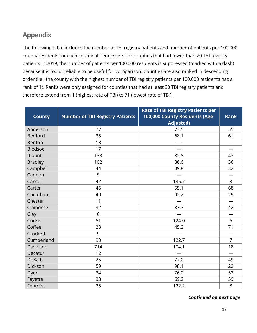# <span id="page-19-0"></span>**Appendix**

The following table includes the number of TBI registry patients and number of patients per 100,000 county residents for each county of Tennessee. For counties that had fewer than 20 TBI registry patients in 2019, the number of patients per 100,000 residents is suppressed (marked with a dash) because it is too unreliable to be useful for comparison. Counties are also ranked in descending order (i.e., the county with the highest number of TBI registry patients per 100,000 residents has a rank of 1). Ranks were only assigned for counties that had at least 20 TBI registry patients and therefore extend from 1 (highest rate of TBI) to 71 (lowest rate of TBI).

| <b>County</b>  | <b>Number of TBI Registry Patients</b> | <b>Rate of TBI Registry Patients per</b><br>100,000 County Residents (Age-<br><b>Adjusted)</b> | <b>Rank</b>    |
|----------------|----------------------------------------|------------------------------------------------------------------------------------------------|----------------|
| Anderson       | 77                                     | 73.5                                                                                           | 55             |
| <b>Bedford</b> | 35                                     | 68.1                                                                                           | 61             |
| Benton         | 13                                     |                                                                                                |                |
| Bledsoe        | 17                                     |                                                                                                |                |
| <b>Blount</b>  | 133                                    | 82.8                                                                                           | 43             |
| <b>Bradley</b> | 102                                    | 86.6                                                                                           | 36             |
| Campbell       | 44                                     | 89.8                                                                                           | 32             |
| Cannon         | 9                                      |                                                                                                |                |
| Carroll        | 42                                     | 135.7                                                                                          | 3              |
| Carter         | 46                                     | 55.1                                                                                           | 68             |
| Cheatham       | 40                                     | 92.2                                                                                           | 29             |
| Chester        | 11                                     |                                                                                                |                |
| Claiborne      | 32                                     | 83.7                                                                                           | 42             |
| Clay           | 6                                      |                                                                                                |                |
| Cocke          | 51                                     | 124.0                                                                                          | 6              |
| Coffee         | 28                                     | 45.2                                                                                           | 71             |
| Crockett       | 9                                      |                                                                                                |                |
| Cumberland     | 90                                     | 122.7                                                                                          | $\overline{7}$ |
| Davidson       | 714                                    | 104.1                                                                                          | 18             |
| Decatur        | 12                                     |                                                                                                |                |
| <b>DeKalb</b>  | 25                                     | 77.0                                                                                           | 49             |
| Dickson        | 59                                     | 98.1                                                                                           | 22             |
| Dyer           | 34                                     | 76.0                                                                                           | 52             |
| Fayette        | 33                                     | 69.2                                                                                           | 59             |
| Fentress       | 25                                     | 122.2                                                                                          | 8              |

*Continued on next page*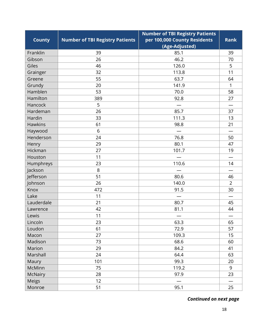|                |                                        | <b>Number of TBI Registry Patients</b> |                |
|----------------|----------------------------------------|----------------------------------------|----------------|
| <b>County</b>  | <b>Number of TBI Registry Patients</b> | per 100,000 County Residents           | <b>Rank</b>    |
|                |                                        | (Age-Adjusted)                         |                |
| Franklin       | 39                                     | 85.1                                   | 39             |
| Gibson         | 26                                     | 46.2                                   | 70             |
| Giles          | 46                                     | 126.0                                  | 5              |
| Grainger       | 32                                     | 113.8                                  | 11             |
| Greene         | 55                                     | 63.7                                   | 64             |
| Grundy         | 20                                     | 141.9                                  | $\mathbf{1}$   |
| Hamblen        | 53                                     | 70.0                                   | 58             |
| Hamilton       | 389                                    | 92.8                                   | 27             |
| Hancock        | 5                                      |                                        |                |
| Hardeman       | 26                                     | 85.7                                   | 37             |
| Hardin         | 33                                     | 111.3                                  | 13             |
| <b>Hawkins</b> | 61                                     | 98.8                                   | 21             |
| Haywood        | 6                                      |                                        |                |
| Henderson      | 24                                     | 76.8                                   | 50             |
| Henry          | 29                                     | 80.1                                   | 47             |
| Hickman        | 27                                     | 101.7                                  | 19             |
| Houston        | 11                                     |                                        |                |
| Humphreys      | 23                                     | 110.6                                  | 14             |
| Jackson        | 8                                      |                                        |                |
| Jefferson      | 51                                     | 80.6                                   | 46             |
| Johnson        | 26                                     | 140.0                                  | $\overline{2}$ |
| Knox           | 472                                    | 91.5                                   | 30             |
| Lake           | 11                                     |                                        |                |
| Lauderdale     | 21                                     | 80.7                                   | 45             |
| Lawrence       | 42                                     | 81.1                                   | 44             |
| Lewis          | 11                                     |                                        |                |
| Lincoln        | 23                                     | 63.3                                   | 65             |
| Loudon         | 61                                     | 72.9                                   | 57             |
| Macon          | 27                                     | 109.3                                  | 15             |
| Madison        | 73                                     | 68.6                                   | 60             |
| Marion         | 29                                     | 84.2                                   | 41             |
| Marshall       | 24                                     | 64.4                                   | 63             |
| Maury          | 101                                    | 99.3                                   | 20             |
| McMinn         | 75                                     | 119.2                                  | 9              |
| McNairy        | 28                                     | 97.9                                   | 23             |
| <b>Meigs</b>   | 12                                     |                                        |                |
| Monroe         | 51                                     | 95.1                                   | 25             |

 *Continued on next page*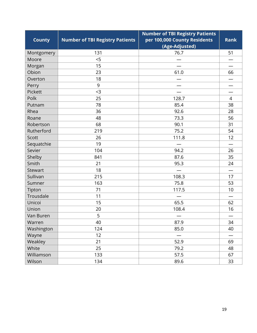|               |                                        | <b>Number of TBI Registry Patients</b> |             |
|---------------|----------------------------------------|----------------------------------------|-------------|
| <b>County</b> | <b>Number of TBI Registry Patients</b> | per 100,000 County Residents           | <b>Rank</b> |
|               |                                        | (Age-Adjusted)                         |             |
| Montgomery    | 131                                    | 76.7                                   | 51          |
| Moore         | 5                                      |                                        |             |
| Morgan        | 15                                     |                                        |             |
| Obion         | 23                                     | 61.0                                   | 66          |
| Overton       | 18                                     |                                        |             |
| Perry         | 9                                      |                                        |             |
| Pickett       | $3$                                    |                                        |             |
| Polk          | 25                                     | 128.7                                  | 4           |
| Putnam        | 78                                     | 85.4                                   | 38          |
| Rhea          | 36                                     | 92.6                                   | 28          |
| Roane         | 48                                     | 73.3                                   | 56          |
| Robertson     | 68                                     | 90.1                                   | 31          |
| Rutherford    | 219                                    | 75.2                                   | 54          |
| Scott         | 26                                     | 111.8                                  | 12          |
| Sequatchie    | 19                                     |                                        |             |
| Sevier        | 104                                    | 94.2                                   | 26          |
| Shelby        | 841                                    | 87.6                                   | 35          |
| Smith         | 21                                     | 95.3                                   | 24          |
| Stewart       | 18                                     |                                        |             |
| Sullivan      | 215                                    | 108.3                                  | 17          |
| Sumner        | 163                                    | 75.8                                   | 53          |
| Tipton        | 71                                     | 117.5                                  | 10          |
| Trousdale     | 11                                     |                                        |             |
| Unicoi        | 15                                     | 65.5                                   | 62          |
| Union         | 20                                     | 108.4                                  | 16          |
| Van Buren     | 5                                      |                                        |             |
| Warren        | 40                                     | 87.9                                   | 34          |
| Washington    | 124                                    | 85.0                                   | 40          |
| Wayne         | 12                                     |                                        |             |
| Weakley       | 21                                     | 52.9                                   | 69          |
| White         | 25                                     | 79.2                                   | 48          |
| Williamson    | 133                                    | 57.5                                   | 67          |
| Wilson        | 134                                    | 89.6                                   | 33          |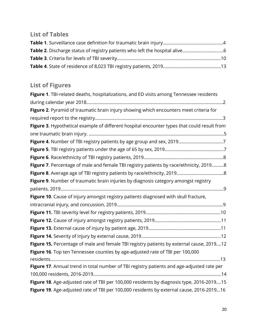# <span id="page-22-0"></span>**List of Tables**

# <span id="page-22-1"></span>**List of Figures**

| Figure 1. TBI-related deaths, hospitalizations, and ED visits among Tennessee residents     |
|---------------------------------------------------------------------------------------------|
|                                                                                             |
| Figure 2. Pyramid of traumatic brain injury showing which encounters meet criteria for      |
|                                                                                             |
| Figure 3. Hypothetical example of different hospital encounter types that could result from |
|                                                                                             |
|                                                                                             |
|                                                                                             |
|                                                                                             |
| Figure 7. Percentage of male and female TBI registry patients by race/ethnicity, 20198      |
|                                                                                             |
| Figure 9. Number of traumatic brain injuries by diagnosis category amongst registry         |
|                                                                                             |
| Figure 10. Cause of injury amongst registry patients diagnosed with skull fracture,         |
|                                                                                             |
|                                                                                             |
|                                                                                             |
|                                                                                             |
|                                                                                             |
| Figure 15. Percentage of male and female TBI registry patients by external cause, 201912    |
| Figure 16. Top ten Tennessee counties by age-adjusted rate of TBI per 100,000               |
|                                                                                             |
| Figure 17. Annual trend in total number of TBI registry patients and age-adjusted rate per  |
|                                                                                             |
| Figure 18. Age-adjusted rate of TBI per 100,000 residents by diagnosis type, 2016-201915    |
| Figure 19. Age-adjusted rate of TBI per 100,000 residents by external cause, 2016-201916    |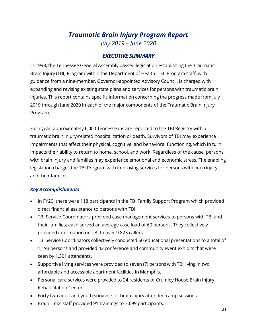# *Traumatic Brain Injury Program Report July 2019 – June 2020*

### *EXECUTIVE SUMMARY*

<span id="page-23-0"></span>In 1993, the Tennessee General Assembly passed legislation establishing the Traumatic Brain Injury (TBI) Program within the Department of Health. TBI Program staff, with guidance from a nine-member, Governor-appointed Advisory Council, is charged with expanding and revising existing state plans and services for persons with traumatic brain injuries. This report contains specific information concerning the progress made from July 2019 through June 2020 in each of the major components of the Traumatic Brain Injury Program.

Each year, approximately 6,000 Tennesseans are reported to the TBI Registry with a traumatic brain injury-related hospitalization or death. Survivors of TBI may experience impairments that affect their physical, cognitive, and behavioral functioning, which in turn impacts their ability to return to home, school, and work. Regardless of the cause, persons with brain injury and families may experience emotional and economic stress. The enabling legislation charges the TBI Program with improving services for persons with brain injury and their families.

#### *Key Accomplishments*

- In FY20, there were 118 participants in the TBI Family Support Program which provided direct financial assistance to persons with TBI.
- TBI Service Coordinators provided case management services to persons with TBI and their families; each served an average case load of 60 persons. They collectively provided information on TBI to over 9,823 callers.
- TBI Service Coordinators collectively conducted 60 educational presentations to a total of 1,193 persons and provided 42 conference and community event exhibits that were seen by 1,301 attendants.
- Supportive living services were provided to seven (7) persons with TBI living in two affordable and accessible apartment facilities in Memphis.
- Personal care services were provided to 24 residents of Crumley House Brain Injury Rehabilitation Center.
- Forty two adult and youth survivors of brain injury attended camp sessions.
- Brain Links staff provided 91 trainings to 3,699 participants.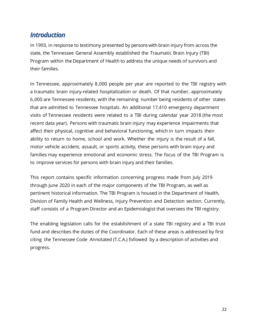# <span id="page-24-0"></span>*Introduction*

In 1993, in response to testimony presented by persons with brain injury from across the state, the Tennessee General Assembly established the Traumatic Brain Injury (TBI) Program within the Department of Health to address the unique needs of survivors and their families.

In Tennessee, approximately 8,000 people per year are reported to the TBI registry with a traumatic brain injury-related hospitalization or death. Of that number, approximately 6,000 are Tennessee residents, with the remaining number being residents of other states that are admitted to Tennessee hospitals. An additional 17,410 emergency department visits of Tennessee residents were related to a TBI during calendar year 2018 (the most recent data year). Persons with traumatic brain injury may experience impairments that affect their physical, cognitive and behavioral functioning, which in turn impacts their ability to return to home, school and work. Whether the injury is the result of a fall, motor vehicle accident, assault, or sports activity, these persons with brain injury and families may experience emotional and economic stress. The focus of the TBI Program is to improve services for persons with brain injury and their families.

This report contains specific information concerning progress made from July 2019 through June 2020 in each of the major components of the TBI Program, as well as pertinent historical information. The TBI Program is housed in the Department of Health, Division of Family Health and Wellness, Injury Prevention and Detection section. Currently, staff consists of a Program Director and an Epidemiologist that oversees the TBI registry.

The enabling legislation calls for the establishment of a state TBI registry and a TBI trust fund and describes the duties of the Coordinator. Each of these areas is addressed by first citing the Tennessee Code Annotated (T.C.A.) followed by a description of activities and progress.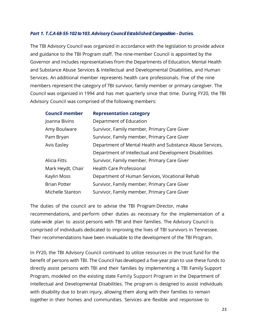#### <span id="page-25-0"></span>*Part 1. T.C.A68-55-102to 103.Advisory Council Established: Composition–Duties.*

The TBI Advisory Council was organized in accordance with the legislation to provide advice and guidance to the TBI Program staff. The nine-member Council is appointed by the Governor and includes representatives from the Departments of Education, Mental Health and Substance Abuse Services & Intellectual and Developmental Disabilities, and Human Services. An additional member represents health care professionals. Five of the nine members represent the category of TBI survivor, family member or primary caregiver. The Council was organized in 1994 and has met quarterly since that time. During FY20, the TBI Advisory Council was comprised of the following members:

| <b>Council member</b> | <b>Representation category</b> |  |
|-----------------------|--------------------------------|--|
|                       |                                |  |

| Joanna Bivins       | Department of Education                                   |
|---------------------|-----------------------------------------------------------|
| Amy Boulware        | Survivor, Family member, Primary Care Giver               |
| Pam Bryan           | Survivor, Family member, Primary Care Giver               |
| Avis Easley         | Department of Mental Health and Substance Abuse Services, |
|                     | Department of Intellectual and Development Disabilities   |
| Alicia Fitts        | Survivor, Family member, Primary Care Giver               |
| Mark Heydt, Chair   | <b>Health Care Professional</b>                           |
| Kaylin Moss         | Department of Human Services, Vocational Rehab            |
| <b>Brian Potter</b> | Survivor, Family member, Primary Care Giver               |
| Michelle Stanton    | Survivor, Family member, Primary Care Giver               |

The duties of the council are to advise the TBI Program Director, make recommendations, and perform other duties as necessary for the implementation of a state-wide plan to assist persons with TBI and their families. The Advisory Council is comprised of individuals dedicated to improving the lives of TBI survivors in Tennessee. Their recommendations have been invaluable to the development of the TBI Program.

In FY20, the TBI Advisory Council continued to utilize resources in the trust fund for the benefit of persons with TBI. The Council has developed a five-year plan to use these funds to directly assist persons with TBI and their families by implementing a TBI Family Support Program, modeled on the existing state Family Support Program in the Department of Intellectual and Developmental Disabilities. The program is designed to assist individuals with disability due to brain injury, allowing them along with their families to remain together in their homes and communities. Services are flexible and responsive to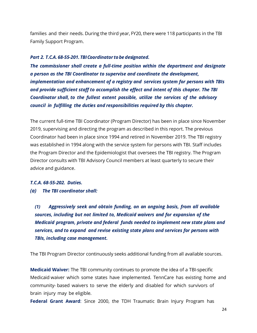families and their needs. During the third year, FY20, there were 118 participants in the TBI Family Support Program.

#### <span id="page-26-0"></span>*Part 2. T.C.A. 68-55-201. TBICoordinator tobe designated.*

*The commissioner shall create a full-time position within the department and designate a person as the TBI Coordinator to supervise and coordinate the development, implementation and enhancement of a registry and services system for persons with TBIs and provide sufficient staff to accomplish the effect and intent of this chapter. The TBI Coordinator shall, to the fullest extent possible, utilize the services of the advisory council in fulfilling the duties and responsibilities required by this chapter.*

The current full-time TBI Coordinator (Program Director) has been in place since November 2019, supervising and directing the program as described in this report. The previous Coordinator had been in place since 1994 and retired in November 2019. The TBI registry was established in 1994 along with the service system for persons with TBI. Staff includes the Program Director and the Epidemiologist that oversees the TBI registry. The Program Director consults with TBI Advisory Council members at least quarterly to secure their advice and guidance.

#### *T.C.A. 68-55-202. Duties.*

*(a) The TBI coordinator shall:*

*(1) Aggressively seek and obtain funding, on an ongoing basis, from all available sources, including but not limited to, Medicaid waivers and for expansion of the Medicaid program, private and federal funds needed to implement new state plans and services, and to expand and revise existing state plans and services for persons with TBIs, including case management.*

The TBI Program Director continuously seeks additional funding from all available sources.

**Medicaid Waiver:** The TBI community continues to promote the idea of a TBI-specific Medicaid waiver which some states have implemented. TennCare has existing home and community- based waivers to serve the elderly and disabled for which survivors of brain injury may be eligible.

**Federal Grant Award**: Since 2000, the TDH Traumatic Brain Injury Program has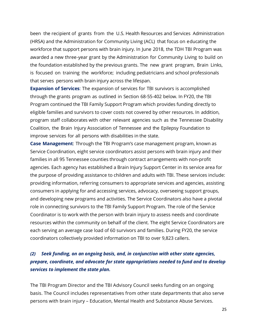been the recipient of grants from the U.S. Health Resources and Services Administration (HRSA) and the Administration for Community Living (ACL) that focus on educating the workforce that support persons with brain injury. In June 2018, the TDH TBI Program was awarded a new three-year grant by the Administration for Community Living to build on the foundation established by the previous grants. The new grant program, Brain Links, is focused on training the workforce; including pediatricians and school professionals that serves persons with brain injury across the lifespan.

**Expansion of Services**: The expansion of services for TBI survivors is accomplished through the grants program as outlined in Section 68-55-402 below. In FY20, the TBI Program continued the TBI Family Support Program which provides funding directly to eligible families and survivors to cover costs not covered by other resources. In addition, program staff collaborates with other relevant agencies such as the Tennessee Disability Coalition, the Brain Injury Association of Tennessee and the Epilepsy Foundation to improve services for all persons with disabilities in the state.

**Case Management**: Through the TBI Program's case management program, known as Service Coordination, eight service coordinators assist persons with brain injury and their families in all 95 Tennessee counties through contract arrangements with non-profit agencies. Each agency has established a Brain Injury Support Center in its service area for the purpose of providing assistance to children and adults with TBI. These services include: providing information, referring consumers to appropriate services and agencies, assisting consumers in applying for and accessing services, advocacy, overseeing support groups, and developing new programs and activities. The Service Coordinators also have a pivotal role in connecting survivors to the TBI Family Support Program. The role of the Service Coordinator is to work with the person with brain injury to assess needs and coordinate resources within the community on behalf of the client. The eight Service Coordinators are each serving an average case load of 60 survivors and families. During FY20, the service coordinators collectively provided information on TBI to over 9,823 callers.

### *(2) Seek funding, on an ongoing basis, and, in conjunction with other state agencies, prepare, coordinate, and advocate for state appropriations needed to fund and to develop services to implement the state plan.*

The TBI Program Director and the TBI Advisory Council seeks funding on an ongoing basis. The Council includes representatives from other state departments that also serve persons with brain injury – Education, Mental Health and Substance Abuse Services.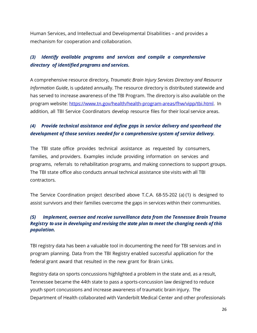Human Services, and Intellectual and Developmental Disabilities – and provides a mechanism for cooperation and collaboration.

### *(3) Identify available programs and services and compile a comprehensive directory of identified programs and services.*

A comprehensive resource directory, *Traumatic Brain Injury Services Directory and Resource Information Guide*, is updated annually. The resource directory is distributed statewide and has served to increase awareness of the TBI Program. The directory is also available on the program website: [https://www.tn.gov/health/health-program-areas/fhw/vipp/tbi.html.](https://www.tn.gov/health/health-program-areas/fhw/vipp/tbi.html) In addition, all TBI Service Coordinators develop resource files for their local service areas.

### *(4) Provide technical assistance and define gaps in service delivery and spearhead the development of those services needed for a comprehensive system of service delivery.*

The TBI state office provides technical assistance as requested by consumers, families, and providers. Examples include providing information on services and programs, referrals to rehabilitation programs, and making connections to support groups. The TBI state office also conducts annual technical assistance site visits with all TBI contractors.

The Service Coordination project described above T.C.A. 68-55-202 (a) (1) is designed to assist survivors and their families overcome the gaps in services within their communities.

#### <span id="page-28-0"></span>*(5) Implement, oversee and receive surveillance data from the Tennessee Brain Trauma Registry to use in developing and revising the state plan to meet the changing needs of this population.*

TBI registry data has been a valuable tool in documenting the need for TBI services and in program planning. Data from the TBI Registry enabled successful application for the federal grant award that resulted in the new grant for Brain Links.

Registry data on sports concussions highlighted a problem in the state and, as a result, Tennessee became the 44th state to pass a sports-concussion law designed to reduce youth sport concussions and increase awareness of traumatic brain injury. The Department of Health collaborated with Vanderbilt Medical Center and other professionals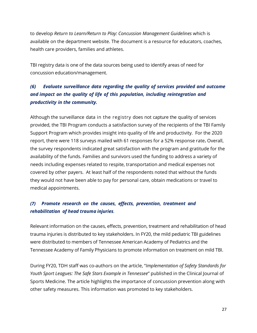to develop *Return to Learn/Return to Play: Concussion Management Guidelines* which is available on the department website. The document is a resource for educators, coaches, health care providers, families and athletes.

TBI registry data is one of the data sources being used to identify areas of need for concussion education/management.

### *(6) Evaluate surveillance data regarding the quality of services provided and outcome and impact on the quality of life of this population, including reintegration and productivity in the community.*

Although the surveillance data in the registry does not capture the quality of services provided, the TBI Program conducts a satisfaction survey of the recipients of the TBI Family Support Program which provides insight into quality of life and productivity. For the 2020 report, there were 118 surveys mailed with 61 responses for a 52% response rate**.** Overall, the survey respondents indicated great satisfaction with the program and gratitude for the availability of the funds. Families and survivors used the funding to address a variety of needs including expenses related to respite, transportation and medical expenses not covered by other payers. At least half of the respondents noted that without the funds they would not have been able to pay for personal care, obtain medications or travel to medical appointments.

### *(7) Promote research on the causes, effects, prevention, treatment and rehabilitation of head trauma injuries.*

Relevant information on the causes, effects, prevention, treatment and rehabilitation of head trauma injuries is distributed to key stakeholders. In FY20, the mild pediatric TBI guidelines were distributed to members of Tennessee American Academy of Pediatrics and the Tennessee Academy of Family Physicians to promote information on treatment on mild TBI.

During FY20, TDH staff was co-authors on the article, "*Implementation of Safety Standards for Youth Sport Leagues: The Safe Stars Example in Tennessee*" published in the Clinical Journal of Sports Medicine. The article highlights the importance of concussion prevention along with other safety measures. This information was promoted to key stakeholders.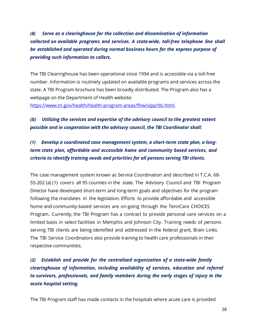*(8) Serve as a clearinghouse for the collection and dissemination of information collected on available programs and services. A state-wide, toll-free telephone line shall be established and operated during normal business hours for the express purpose of providing such information to callers.*

The TBI Clearinghouse has been operational since 1994 and is accessible via a toll-free number. Information is routinely updated on available programs and services across the state. A TBI Program brochure has been broadly distributed. The Program also has a webpage on the Department of Health website:

[https://www.tn.gov/health/health-program-areas/fhw/vipp/tbi.html.](https://www.tn.gov/health/health-program-areas/fhw/vipp/tbi.html)

### *(b) Utilizing the services and expertise of the advisory council to the greatest extent possible and in cooperation with the advisory council, the TBI Coordinator shall:*

### *(1) Develop a coordinated case management system, a short-term state plan, a longterm state plan, affordable and accessible home and community based services, and criteria to identify training needs and priorities for all persons serving TBI clients.*

The case management system known as Service Coordination and described in T.C.A. 68- 55-202 (a) (1) covers all 95 counties in the state. The Advisory Council and TBI Program Director have developed short-term and long-term goals and objectives for the program following the mandates in the legislation. Efforts to provide affordable and accessible home and community-based services are on-going through the TennCare CHOICES Program. Currently, the TBI Program has a contract to provide personal care services on a limited basis in select facilities in Memphis and Johnson City. Training needs of persons serving TBI clients are being identified and addressed in the federal grant, Brain Links. The TBI Service Coordinators also provide training to health care professionals in their respective communities.

### *(2) Establish and provide for the centralized organization of a state-wide family clearinghouse of information, including availability of services, education and referral to survivors, professionals, and family members during the early stages of injury in the acute hospital setting.*

The TBI Program staff has made contacts in the hospitals where acute care is provided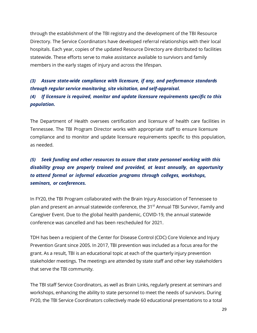through the establishment of the TBI registry and the development of the TBI Resource Directory. The Service Coordinators have developed referral relationships with their local hospitals. Each year, copies of the updated Resource Directory are distributed to facilities statewide. These efforts serve to make assistance available to survivors and family members in the early stages of injury and across the lifespan.

### *(3) Assure state-wide compliance with licensure, if any, and performance standards through regular service monitoring, site visitation, and self-appraisal. (4) If licensure is required, monitor and update licensure requirements specific to this population.*

The Department of Health oversees certification and licensure of health care facilities in Tennessee. The TBI Program Director works with appropriate staff to ensure licensure compliance and to monitor and update licensure requirements specific to this population, as needed.

## *(5) Seek funding and other resources to assure that state personnel working with this disability group are properly trained and provided, at least annually, an opportunity to attend formal or informal education programs through colleges, workshops, seminars, or conferences.*

In FY20, the TBI Program collaborated with the Brain Injury Association of Tennessee to plan and present an annual statewide conference, the 31<sup>st</sup> Annual TBI Survivor, Family and Caregiver Event. Due to the global health pandemic, COVID-19, the annual statewide conference was cancelled and has been rescheduled for 2021.

TDH has been a recipient of the Center for Disease Control (CDC) Core Violence and Injury Prevention Grant since 2005. In 2017, TBI prevention was included as a focus area for the grant. As a result, TBI is an educational topic at each of the quarterly injury prevention stakeholder meetings. The meetings are attended by state staff and other key stakeholders that serve the TBI community.

The TBI staff Service Coordinators, as well as Brain Links, regularly present at seminars and workshops, enhancing the ability to state personnel to meet the needs of survivors. During FY20, the TBI Service Coordinators collectively made 60 educational presentations to a total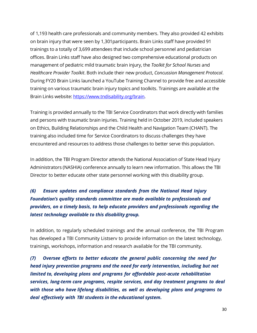of 1,193 health care professionals and community members. They also provided 42 exhibits on brain injury that were seen by 1,301participants. Brain Links staff have provided 91 trainings to a totally of 3,699 attendees that include school personnel and pediatrician offices. Brain Links staff have also designed two comprehensive educational products on management of pediatric mild traumatic brain injury, the *Toolkit for School Nurses* and *Healthcare Provider Toolkit*. Both include their new product, *Concussion Management Protocol*. During FY20 Brain Links launched a YouTube Training Channel to provide free and accessible training on various traumatic brain injury topics and toolkits. Trainings are available at the Brain Links website: [https://www.tndisability.org/brain.](https://www.tndisability.org/brain)

Training is provided annually to the TBI Service Coordinators that work directly with families and persons with traumatic brain injuries. Training held in October 2019, included speakers on Ethics, Building Relationships and the Child Health and Navigation Team (CHANT). The training also included time for Service Coordinators to discuss challenges they have encountered and resources to address those challenges to better serve this population.

In addition, the TBI Program Director attends the National Association of State Head Injury Administrators (NASHIA) conference annually to learn new information. This allows the TBI Director to better educate other state personnel working with this disability group.

### *(6) Ensure updates and compliance standards from the National Head Injury Foundation's quality standards committee are made available to professionals and providers, on a timely basis, to help educate providers and professionals regarding the latest technology available to this disability group.*

In addition, to regularly scheduled trainings and the annual conference, the TBI Program has developed a TBI Community Listserv to provide information on the latest technology, trainings, workshops, information and research available for the TBI community.

*(7) Oversee efforts to better educate the general public concerning the need for head injury prevention programs and the need for early intervention, including but not limited to, developing plans and programs for affordable post-acute rehabilitation services, long-term care programs, respite services, and day treatment programs to deal with those who have lifelong disabilities, as well as developing plans and programs to deal effectively with TBI students in the educational system.*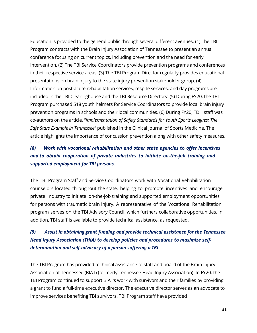Education is provided to the general public through several different avenues. (1) The TBI Program contracts with the Brain Injury Association of Tennessee to present an annual conference focusing on current topics, including prevention and the need for early intervention. (2) The TBI Service Coordinators provide prevention programs and conferences in their respective service areas. (3) The TBI Program Director regularly provides educational presentations on brain injury to the state injury prevention stakeholder group. (4) Information on post-acute rehabilitation services, respite services, and day programs are included in the TBI Clearinghouse and the TBI Resource Directory. (5) During FY20, the TBI Program purchased 518 youth helmets for Service Coordinators to provide local brain injury prevention programs in schools and their local communities. (6) During FY20, TDH staff was co-authors on the article, "*Implementation of Safety Standards for Youth Sports Leagues: The Safe Stars Example in Tennessee*" published in the Clinical Journal of Sports Medicine. The article highlights the importance of concussion prevention along with other safety measures.

### *(8) Work with vocational rehabilitation and other state agencies to offer incentives and to obtain cooperation of private industries to initiate on-the-job training and supported employment for TBI persons.*

The TBI Program Staff and Service Coordinators work with Vocational Rehabilitation counselors located throughout the state, helping to promote incentives and encourage private industry to initiate on-the-job training and supported employment opportunities for persons with traumatic brain injury. A representative of the Vocational Rehabilitation program serves on the TBI Advisory Council, which furthers collaborative opportunities. In addition, TBI staff is available to provide technical assistance, as requested.

### *(9) Assist in obtaining grant funding and provide technical assistance for the Tennessee Head Injury Association (THIA) to develop policies and procedures to maximize selfdetermination and self-advocacy of a person suffering a TBI.*

The TBI Program has provided technical assistance to staff and board of the Brain Injury Association of Tennessee (BIAT) (formerly Tennessee Head Injury Association). In FY20, the TBI Program continued to support BIAT's work with survivors and their families by providing a grant to fund a full-time executive director. The executive director serves as an advocate to improve services benefiting TBI survivors. TBI Program staff have provided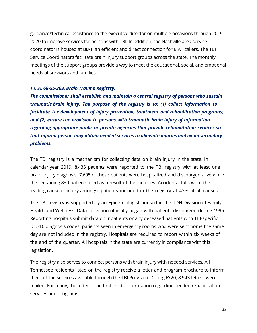guidance/'technical assistance to the executive director on multiple occasions through 2019- 2020 to improve services for persons with TBI. In addition, the Nashville area service coordinator is housed at BIAT, an efficient and direct connection for BIAT callers. The TBI Service Coordinators facilitate brain injury support groups across the state. The monthly meetings of the support groups provide a way to meet the educational, social, and emotional needs of survivors and families.

#### *T.C.A. 68-55-203. Brain Trauma Registry.*

*The commissioner shall establish and maintain a central registry of persons who sustain traumatic brain injury. The purpose of the registry is to: (1) collect information to facilitate the development of injury prevention, treatment and rehabilitation programs; and (2) ensure the provision to persons with traumatic brain injury of information regarding appropriate public or private agencies that provide rehabilitation services so that injured person may obtain needed services to alleviate injuries and avoid secondary problems.*

The TBI registry is a mechanism for collecting data on brain injury in the state. In calendar year 2019, 8,435 patients were reported to the TBI registry with at least one brain injury diagnosis; 7,605 of these patients were hospitalized and discharged alive while the remaining 830 patients died as a result of their injuries. Accidental falls were the leading cause of injury amongst patients included in the registry at 43% of all causes.

The TBI registry is supported by an Epidemiologist housed in the TDH Division of Family Health and Wellness. Data collection officially began with patients discharged during 1996. Reporting hospitals submit data on inpatients or any deceased patients with TBI-specific ICD-10 diagnosis codes; patients seen in emergency rooms who were sent home the same day are not included in the registry. Hospitals are required to report within six weeks of the end of the quarter. All hospitals in the state are currently in compliance with this legislation.

The registry also serves to connect persons with brain injury with needed services. All Tennessee residents listed on the registry receive a letter and program brochure to inform them of the services available through the TBI Program. During FY20, 8,943 letters were mailed. For many, the letter is the first link to information regarding needed rehabilitation services and programs.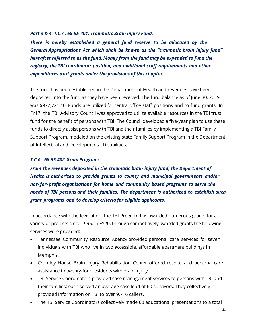#### <span id="page-35-0"></span>*Part 3 & 4. T.C.A. 68-55-401. Traumatic Brain Injury Fund.*

*There is hereby established a general fund reserve to be allocated by the General Appropriations Act which shall be known as the "traumatic brain injury fund" hereafter referred to as the fund. Money from the fund may be expended to fund the registry, the TBI coordinator position, and additional staff requirements and other expenditures and grants under the provisions of this chapter.*

The fund has been established in the Department of Health and revenues have been deposited into the fund as they have been received. The fund balance as of June 30, 2019 was \$972,721.40. Funds are utilized for central office staff positions and to fund grants. In FY17, the TBI Advisory Council was approved to utilize available resources in the TBI trust fund for the benefit of persons with TBI. The Council developed a five-year plan to use these funds to directly assist persons with TBI and their families by implementing a TBI Family Support Program, modeled on the existing state Family Support Program in the Department of Intellectual and Developmental Disabilities.

#### <span id="page-35-1"></span>*T.C.A. 68-55-402.Grant Programs.*

*From the revenues deposited in the traumatic brain injury fund, the Department of Health is authorized to provide grants to county and municipal governments and/or not- for- profit organizations for home and community based programs to serve the needs of TBI persons and their families. The department is authorized to establish such grant programs and to develop criteria for eligible applicants.*

In accordance with the legislation, the TBI Program has awarded numerous grants for a variety of projects since 1995. In FY20, through competitively awarded grants the following services were provided:

- Tennessee Community Resource Agency provided personal care services for seven individuals with TBI who live in two accessible, affordable apartment buildings in Memphis.
- Crumley House Brain Injury Rehabilitation Center offered respite and personal care assistance to twenty-four residents with brain injury.
- TBI Service Coordinators provided case management services to persons with TBI and their families; each served an average case load of 60 survivors. They collectively provided information on TBI to over 9,716 callers.
- The TBI Service Coordinators collectively made 60 educational presentations to a total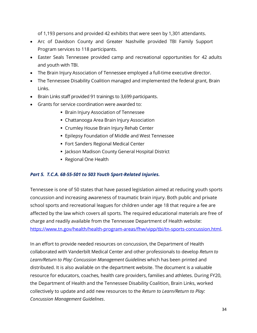of 1,193 persons and provided 42 exhibits that were seen by 1,301 attendants.

- Arc of Davidson County and Greater Nashville provided TBI Family Support Program services to 118 participants.
- Easter Seals Tennessee provided camp and recreational opportunities for 42 adults and youth with TBI.
- The Brain Injury Association of Tennessee employed a full-time executive director.
- The Tennessee Disability Coalition managed and implemented the federal grant, Brain Links.
- Brain Links staff provided 91 trainings to 3,699 participants.
- Grants for service coordination were awarded to:
	- **Brain Injury Association of Tennessee**
	- Chattanooga Area Brain Injury Association
	- Crumley House Brain Injury Rehab Center
	- Epilepsy Foundation of Middle and West Tennessee
	- Fort Sanders Regional Medical Center
	- **Jackson Madison County General Hospital District**
	- Regional One Health

### <span id="page-36-0"></span>*Part 5. T.C.A. 68-55-501 to 503 Youth Sport-Related Injuries.*

Tennessee is one of 50 states that have passed legislation aimed at reducing youth sports concussion and increasing awareness of traumatic brain injury. Both public and private school sports and recreational leagues for children under age 18 that require a fee are affected by the law which covers all sports. The required educational materials are free of charge and readily available from the Tennessee Department of Health website: [https://www.tn.gov/health/health-program-areas/fhw/vipp/tbi/tn-sports-concussion.html.](https://www.tn.gov/health/health-program-areas/fhw/vipp/tbi/tn-sports-concussion.html)

In an effort to provide needed resources on concussion, the Department of Health collaborated with Vanderbilt Medical Center and other professionals to develop *Return to Learn/Return to Play: Concussion Management Guidelines* which has been printed and distributed. It is also available on the department website. The document is a valuable resource for educators, coaches, health care providers, families and athletes. During FY20, the Department of Health and the Tennessee Disability Coalition, Brain Links, worked collectively to update and add new resources to the *Return to Learn/Return to Play: Concussion Management Guidelines*.